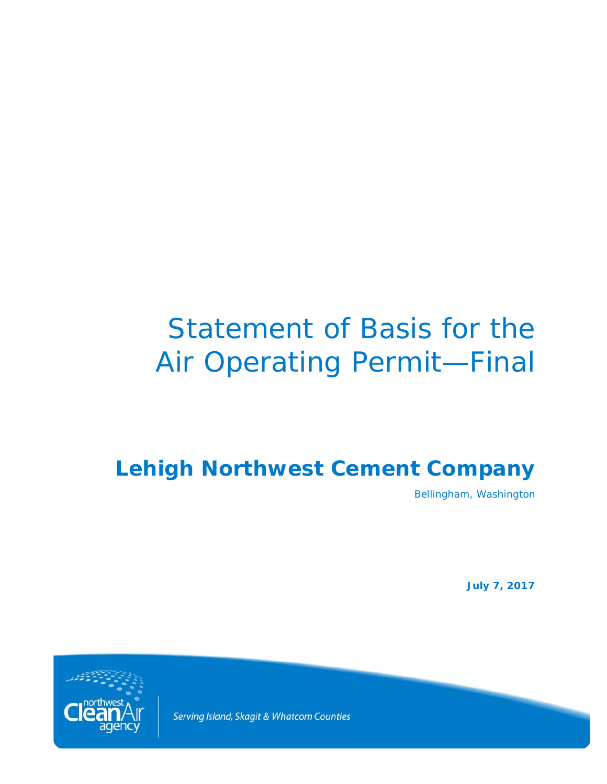# Statement of Basis for the Air Operating Permit—Final

# **Lehigh Northwest Cement Company**

Bellingham, Washington

**July 7, 2017**



Serving Island, Skagit & Whatcom Counties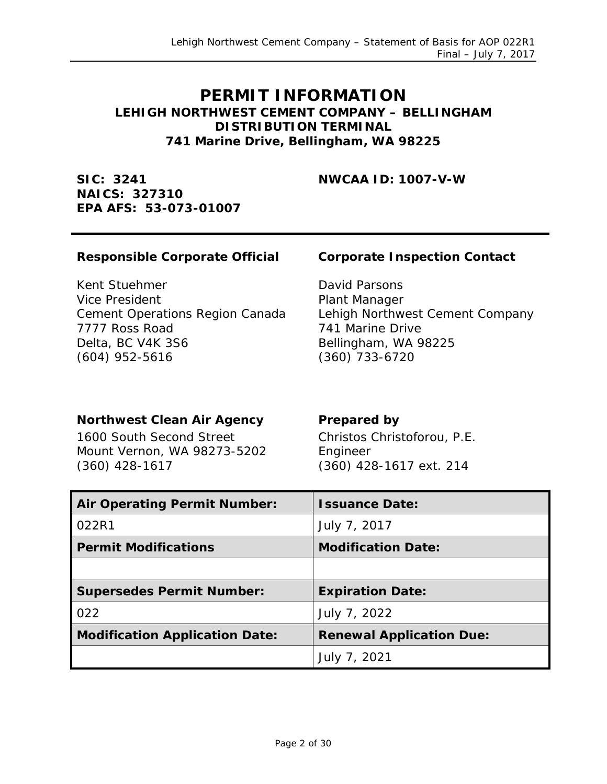### **PERMIT INFORMATION LEHIGH NORTHWEST CEMENT COMPANY – BELLINGHAM DISTRIBUTION TERMINAL 741 Marine Drive, Bellingham, WA 98225**

**SIC: 3241 NAICS: 327310 EPA AFS: 53-073-01007**

**NWCAA ID: 1007-V-W**

#### **Responsible Corporate Official Corporate Inspection Contact**

Kent Stuehmer Vice President Cement Operations Region Canada 7777 Ross Road Delta, BC V4K 3S6 (604) 952-5616

David Parsons Plant Manager Lehigh Northwest Cement Company 741 Marine Drive Bellingham, WA 98225 (360) 733-6720

#### **Northwest Clean Air Agency Prepared by**

1600 South Second Street Mount Vernon, WA 98273-5202 (360) 428-1617

Christos Christoforou, P.E. Engineer (360) 428-1617 ext. 214

| <b>Air Operating Permit Number:</b>   | <b>Issuance Date:</b>           |
|---------------------------------------|---------------------------------|
| 022R1                                 | July 7, 2017                    |
| <b>Permit Modifications</b>           | <b>Modification Date:</b>       |
|                                       |                                 |
|                                       |                                 |
| <b>Supersedes Permit Number:</b>      | <b>Expiration Date:</b>         |
| 022                                   | July 7, 2022                    |
| <b>Modification Application Date:</b> | <b>Renewal Application Due:</b> |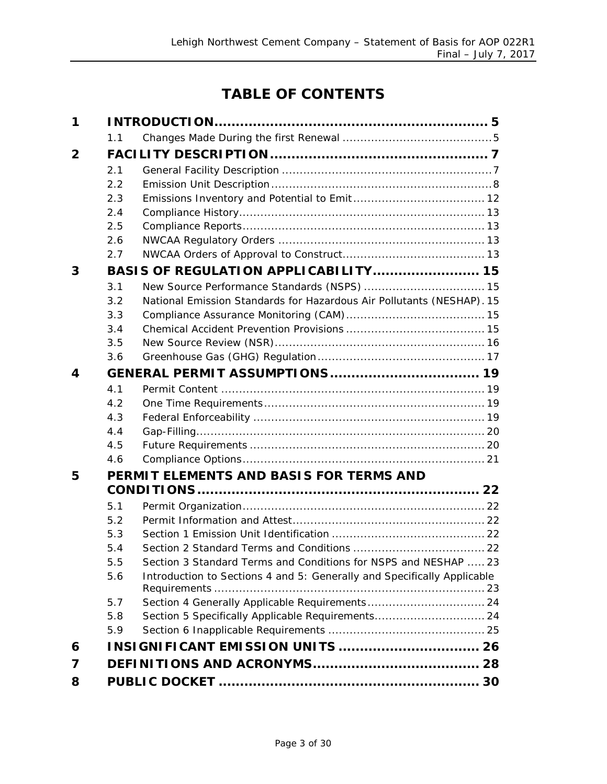# **TABLE OF CONTENTS**

| 1              |     |                                                                         |  |
|----------------|-----|-------------------------------------------------------------------------|--|
|                | 1.1 |                                                                         |  |
| $\overline{2}$ |     |                                                                         |  |
|                | 2.1 |                                                                         |  |
|                | 2.2 |                                                                         |  |
|                | 2.3 |                                                                         |  |
|                | 2.4 |                                                                         |  |
|                | 2.5 |                                                                         |  |
|                | 2.6 |                                                                         |  |
|                | 2.7 |                                                                         |  |
| 3              |     | BASIS OF REGULATION APPLICABILITY 15                                    |  |
|                | 3.1 |                                                                         |  |
|                | 3.2 | National Emission Standards for Hazardous Air Pollutants (NESHAP). 15   |  |
|                | 3.3 |                                                                         |  |
|                | 3.4 |                                                                         |  |
|                | 3.5 |                                                                         |  |
|                | 3.6 |                                                                         |  |
| 4              |     |                                                                         |  |
|                | 4.1 |                                                                         |  |
|                | 4.2 |                                                                         |  |
|                | 4.3 |                                                                         |  |
|                | 4.4 |                                                                         |  |
|                | 4.5 |                                                                         |  |
|                | 4.6 |                                                                         |  |
| 5              |     | PERMIT ELEMENTS AND BASIS FOR TERMS AND                                 |  |
|                |     |                                                                         |  |
|                | 5.1 |                                                                         |  |
|                | 5.2 |                                                                         |  |
|                | 5.3 |                                                                         |  |
|                | 5.4 |                                                                         |  |
|                | 5.5 | Section 3 Standard Terms and Conditions for NSPS and NESHAP  23         |  |
|                | 5.6 | Introduction to Sections 4 and 5: Generally and Specifically Applicable |  |
|                |     |                                                                         |  |
|                | 5.7 |                                                                         |  |
|                | 5.8 | Section 5 Specifically Applicable Requirements 24                       |  |
|                | 5.9 |                                                                         |  |
| 6              |     | <b>INSIGNIFICANT EMISSION UNITS  26</b>                                 |  |
| 7              |     |                                                                         |  |
| 8              |     |                                                                         |  |
|                |     |                                                                         |  |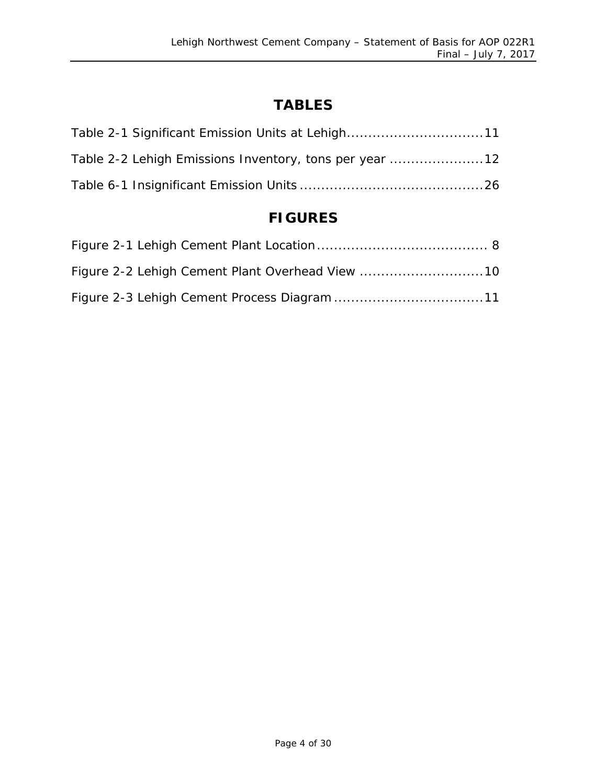# **TABLES**

| Table 2-2 Lehigh Emissions Inventory, tons per year 12 |  |
|--------------------------------------------------------|--|
|                                                        |  |

# **FIGURES**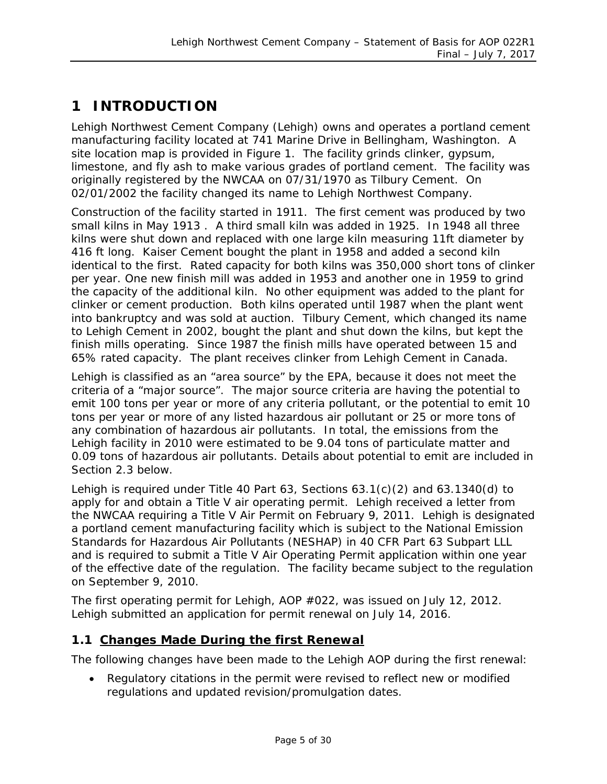# <span id="page-4-0"></span>**1 INTRODUCTION**

Lehigh Northwest Cement Company (Lehigh) owns and operates a portland cement manufacturing facility located at 741 Marine Drive in Bellingham, Washington. A site location map is provided in Figure 1. The facility grinds clinker, gypsum, limestone, and fly ash to make various grades of portland cement. The facility was originally registered by the NWCAA on 07/31/1970 as Tilbury Cement. On 02/01/2002 the facility changed its name to Lehigh Northwest Company.

Construction of the facility started in 1911. The first cement was produced by two small kilns in May 1913 . A third small kiln was added in 1925. In 1948 all three kilns were shut down and replaced with one large kiln measuring 11ft diameter by 416 ft long. Kaiser Cement bought the plant in 1958 and added a second kiln identical to the first. Rated capacity for both kilns was 350,000 short tons of clinker per year. One new finish mill was added in 1953 and another one in 1959 to grind the capacity of the additional kiln. No other equipment was added to the plant for clinker or cement production. Both kilns operated until 1987 when the plant went into bankruptcy and was sold at auction. Tilbury Cement, which changed its name to Lehigh Cement in 2002, bought the plant and shut down the kilns, but kept the finish mills operating. Since 1987 the finish mills have operated between 15 and 65% rated capacity. The plant receives clinker from Lehigh Cement in Canada.

Lehigh is classified as an "area source" by the EPA, because it does not meet the criteria of a "major source". The major source criteria are having the potential to emit 100 tons per year or more of any criteria pollutant, or the potential to emit 10 tons per year or more of any listed hazardous air pollutant or 25 or more tons of any combination of hazardous air pollutants. In total, the emissions from the Lehigh facility in 2010 were estimated to be 9.04 tons of particulate matter and 0.09 tons of hazardous air pollutants. Details about potential to emit are included in Section 2.3 below.

Lehigh is required under Title 40 Part 63, Sections 63.1(c)(2) and 63.1340(d) to apply for and obtain a Title V air operating permit. Lehigh received a letter from the NWCAA requiring a Title V Air Permit on February 9, 2011. Lehigh is designated a portland cement manufacturing facility which is subject to the National Emission Standards for Hazardous Air Pollutants (NESHAP) in 40 CFR Part 63 Subpart LLL and is required to submit a Title V Air Operating Permit application within one year of the effective date of the regulation. The facility became subject to the regulation on September 9, 2010.

The first operating permit for Lehigh, AOP #022, was issued on July 12, 2012. Lehigh submitted an application for permit renewal on July 14, 2016.

#### <span id="page-4-1"></span>**1.1 Changes Made During the first Renewal**

The following changes have been made to the Lehigh AOP during the first renewal:

• Regulatory citations in the permit were revised to reflect new or modified regulations and updated revision/promulgation dates.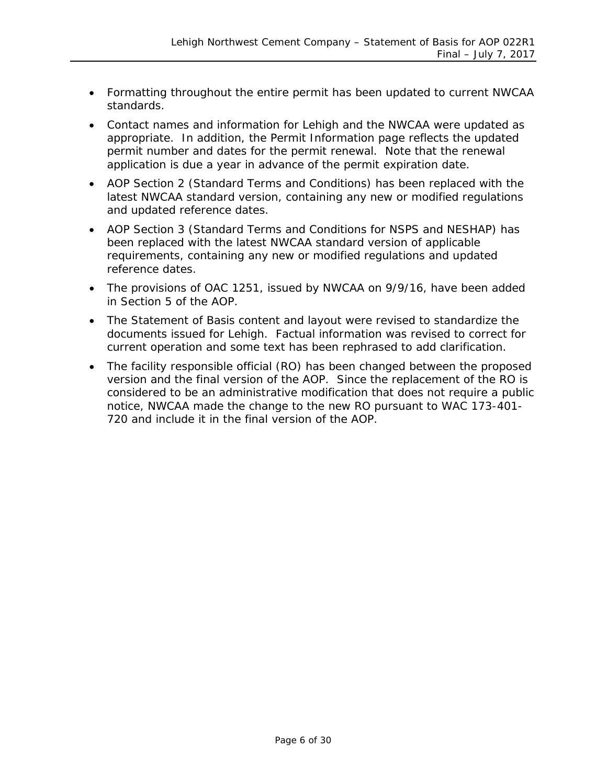- Formatting throughout the entire permit has been updated to current NWCAA standards.
- Contact names and information for Lehigh and the NWCAA were updated as appropriate. In addition, the Permit Information page reflects the updated permit number and dates for the permit renewal. Note that the renewal application is due a year in advance of the permit expiration date.
- AOP Section 2 (Standard Terms and Conditions) has been replaced with the latest NWCAA standard version, containing any new or modified regulations and updated reference dates.
- AOP Section 3 (Standard Terms and Conditions for NSPS and NESHAP) has been replaced with the latest NWCAA standard version of applicable requirements, containing any new or modified regulations and updated reference dates.
- The provisions of OAC 1251, issued by NWCAA on 9/9/16, have been added in Section 5 of the AOP.
- The Statement of Basis content and layout were revised to standardize the documents issued for Lehigh. Factual information was revised to correct for current operation and some text has been rephrased to add clarification.
- The facility responsible official (RO) has been changed between the proposed version and the final version of the AOP. Since the replacement of the RO is considered to be an administrative modification that does not require a public notice, NWCAA made the change to the new RO pursuant to WAC 173-401- 720 and include it in the final version of the AOP.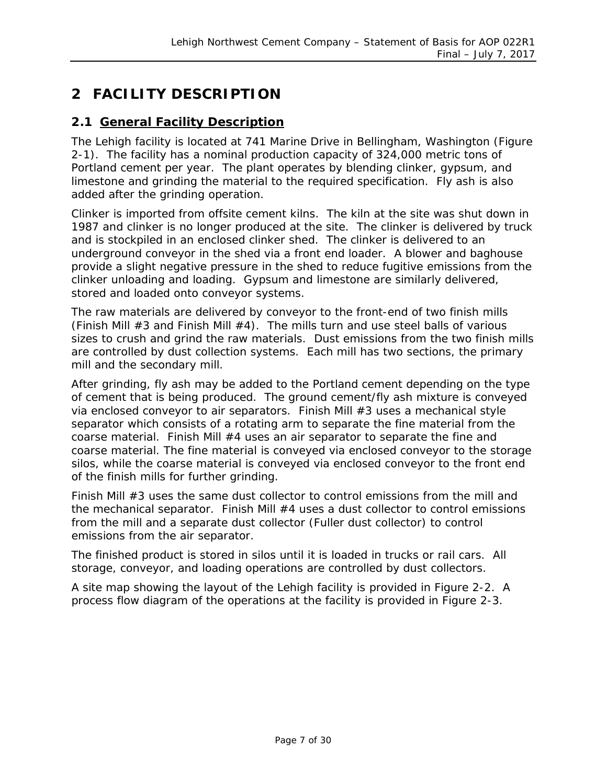# <span id="page-6-0"></span>**2 FACILITY DESCRIPTION**

#### <span id="page-6-1"></span>**2.1 General Facility Description**

The Lehigh facility is located at 741 Marine Drive in Bellingham, Washington [\(Figure](#page-7-1)  [2-1\)](#page-7-1). The facility has a nominal production capacity of 324,000 metric tons of Portland cement per year. The plant operates by blending clinker, gypsum, and limestone and grinding the material to the required specification. Fly ash is also added after the grinding operation.

Clinker is imported from offsite cement kilns. The kiln at the site was shut down in 1987 and clinker is no longer produced at the site. The clinker is delivered by truck and is stockpiled in an enclosed clinker shed. The clinker is delivered to an underground conveyor in the shed via a front end loader. A blower and baghouse provide a slight negative pressure in the shed to reduce fugitive emissions from the clinker unloading and loading. Gypsum and limestone are similarly delivered, stored and loaded onto conveyor systems.

The raw materials are delivered by conveyor to the front-end of two finish mills (Finish Mill #3 and Finish Mill #4). The mills turn and use steel balls of various sizes to crush and grind the raw materials. Dust emissions from the two finish mills are controlled by dust collection systems. Each mill has two sections, the primary mill and the secondary mill.

After grinding, fly ash may be added to the Portland cement depending on the type of cement that is being produced. The ground cement/fly ash mixture is conveyed via enclosed conveyor to air separators. Finish Mill #3 uses a mechanical style separator which consists of a rotating arm to separate the fine material from the coarse material. Finish Mill #4 uses an air separator to separate the fine and coarse material. The fine material is conveyed via enclosed conveyor to the storage silos, while the coarse material is conveyed via enclosed conveyor to the front end of the finish mills for further grinding.

Finish Mill #3 uses the same dust collector to control emissions from the mill and the mechanical separator. Finish Mill #4 uses a dust collector to control emissions from the mill and a separate dust collector (Fuller dust collector) to control emissions from the air separator.

The finished product is stored in silos until it is loaded in trucks or rail cars. All storage, conveyor, and loading operations are controlled by dust collectors.

A site map showing the layout of the Lehigh facility is provided in [Figure 2-2.](#page-9-0) A process flow diagram of the operations at the facility is provided in [Figure 2-3.](#page-10-0)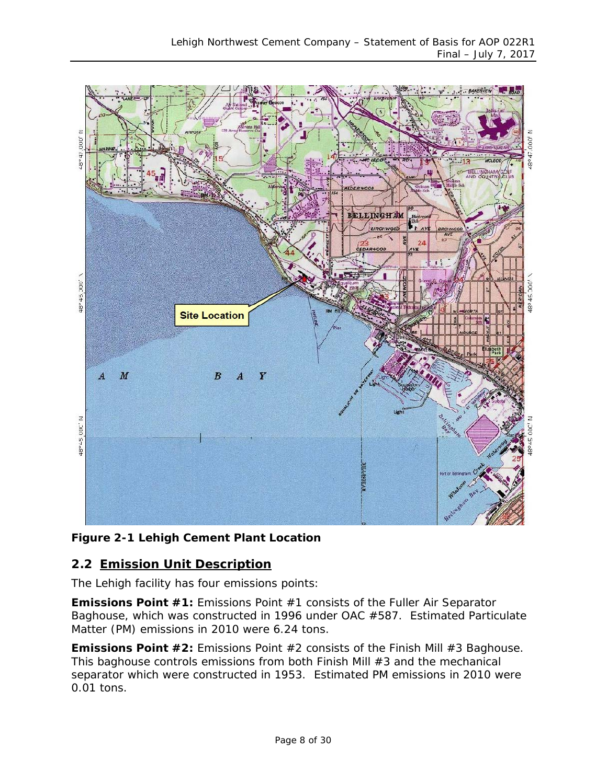

#### <span id="page-7-1"></span>**Figure 2-1 Lehigh Cement Plant Location**

#### <span id="page-7-0"></span>**2.2 Emission Unit Description**

The Lehigh facility has four emissions points:

**Emissions Point #1:** Emissions Point #1 consists of the Fuller Air Separator Baghouse, which was constructed in 1996 under OAC #587. Estimated Particulate Matter (PM) emissions in 2010 were 6.24 tons.

**Emissions Point #2:** Emissions Point #2 consists of the Finish Mill #3 Baghouse. This baghouse controls emissions from both Finish Mill #3 and the mechanical separator which were constructed in 1953. Estimated PM emissions in 2010 were 0.01 tons.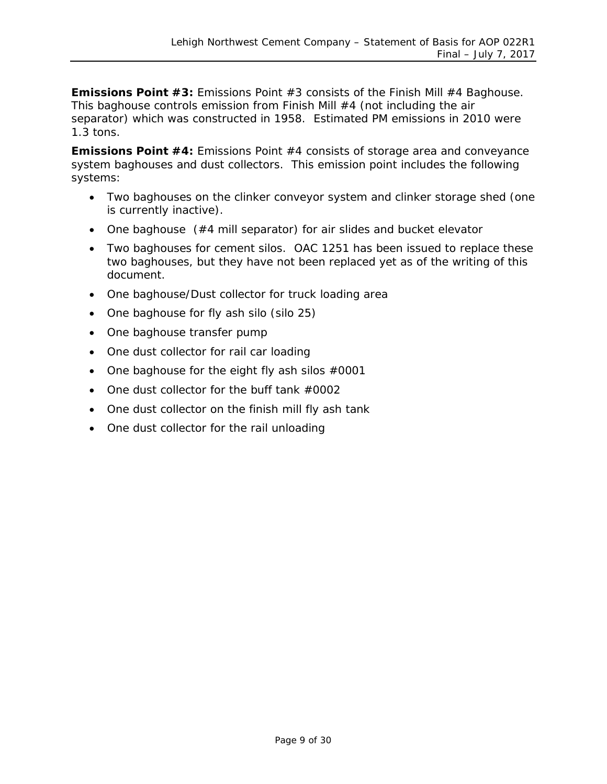**Emissions Point #3:** Emissions Point #3 consists of the Finish Mill #4 Baghouse. This baghouse controls emission from Finish Mill #4 (not including the air separator) which was constructed in 1958. Estimated PM emissions in 2010 were 1.3 tons.

**Emissions Point #4:** Emissions Point #4 consists of storage area and conveyance system baghouses and dust collectors. This emission point includes the following systems:

- Two baghouses on the clinker conveyor system and clinker storage shed (one is currently inactive).
- One baghouse (#4 mill separator) for air slides and bucket elevator
- Two baghouses for cement silos. OAC 1251 has been issued to replace these two baghouses, but they have not been replaced yet as of the writing of this document.
- One baghouse/Dust collector for truck loading area
- One baghouse for fly ash silo (silo 25)
- One baghouse transfer pump
- One dust collector for rail car loading
- One baghouse for the eight fly ash silos  $#0001$
- One dust collector for the buff tank #0002
- One dust collector on the finish mill fly ash tank
- One dust collector for the rail unloading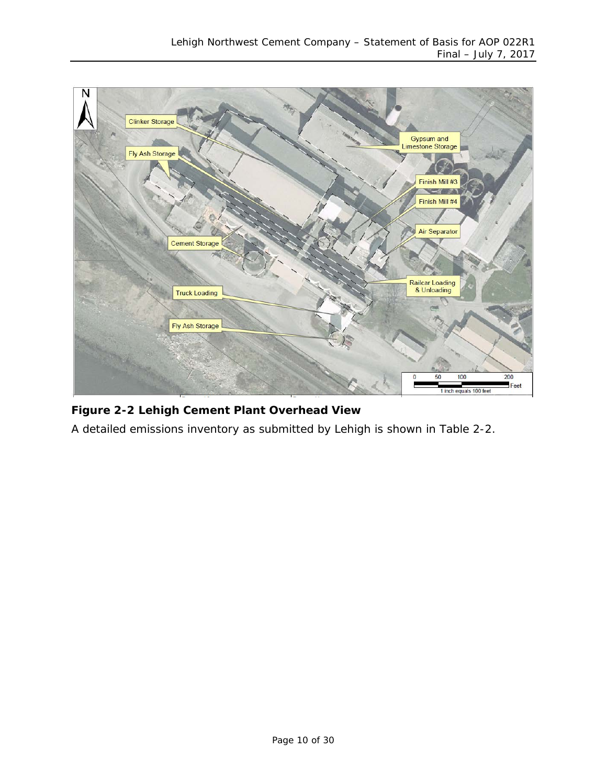

### <span id="page-9-0"></span>**Figure 2-2 Lehigh Cement Plant Overhead View**

A detailed emissions inventory as submitted by Lehigh is shown in [Table 2-2.](#page-11-1)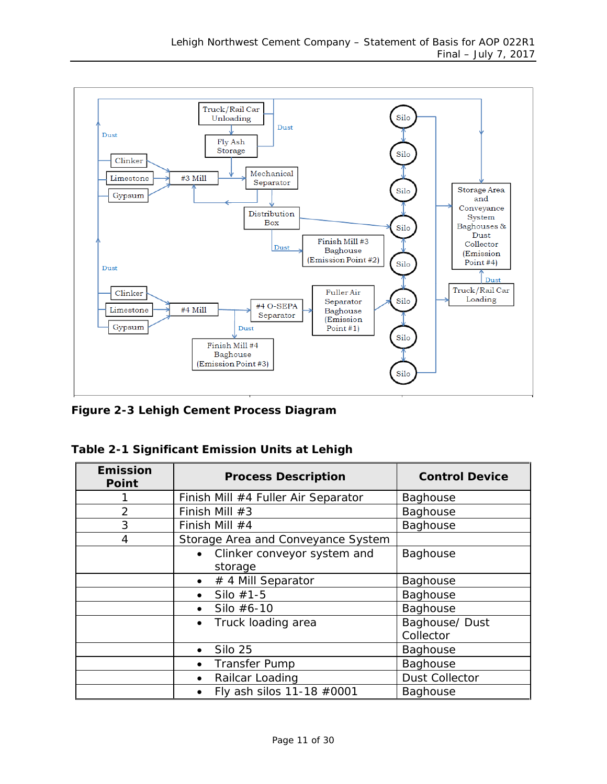

<span id="page-10-0"></span>**Figure 2-3 Lehigh Cement Process Diagram**

| Table 2-1 Significant Emission Units at Lehigh |  |  |
|------------------------------------------------|--|--|

| <b>Emission</b><br><b>Point</b> | <b>Process Description</b>               | <b>Control Device</b>       |
|---------------------------------|------------------------------------------|-----------------------------|
|                                 | Finish Mill #4 Fuller Air Separator      | <b>Baghouse</b>             |
| $\overline{2}$                  | Finish Mill #3                           | Baghouse                    |
| 3                               | Finish Mill $#4$                         | Baghouse                    |
| $\overline{4}$                  | Storage Area and Conveyance System       |                             |
|                                 | Clinker conveyor system and<br>$\bullet$ | Baghouse                    |
|                                 | storage                                  |                             |
|                                 | # 4 Mill Separator<br>$\bullet$          | <b>Baghouse</b>             |
|                                 | Silo $#1-5$<br>$\bullet$                 | Baghouse                    |
|                                 | Silo #6-10<br>$\bullet$                  | Baghouse                    |
|                                 | Truck loading area<br>$\bullet$          | Baghouse/ Dust<br>Collector |
|                                 | Silo 25<br>$\bullet$                     | Baghouse                    |
|                                 | <b>Transfer Pump</b><br>$\bullet$        | Baghouse                    |
|                                 | Railcar Loading<br>$\bullet$             | <b>Dust Collector</b>       |
|                                 | Fly ash silos 11-18 #0001<br>$\bullet$   | Baghouse                    |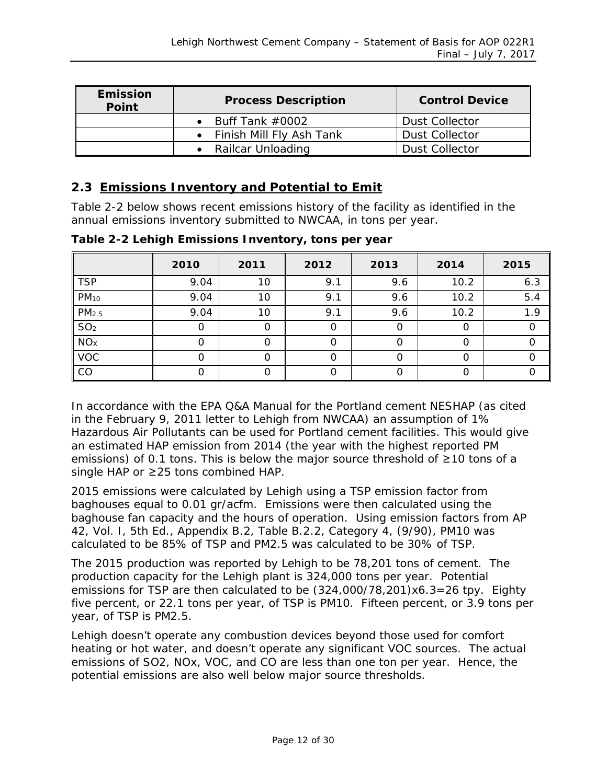| <b>Emission</b><br><b>Point</b> | <b>Process Description</b> | <b>Control Device</b> |
|---------------------------------|----------------------------|-----------------------|
|                                 | • Buff Tank $\#0002$       | <b>Dust Collector</b> |
|                                 | • Finish Mill Fly Ash Tank | <b>Dust Collector</b> |
|                                 | Railcar Unloading          | <b>Dust Collector</b> |

#### <span id="page-11-0"></span>**2.3 Emissions Inventory and Potential to Emit**

[Table 2-2](#page-11-1) below shows recent emissions history of the facility as identified in the annual emissions inventory submitted to NWCAA, in tons per year.

|                   | 2010 | 2011 | 2012 | 2013 | 2014 | 2015 |
|-------------------|------|------|------|------|------|------|
| <b>TSP</b>        | 9.04 | 10   | 9.1  | 9.6  | 10.2 | 6.3  |
| $PM_{10}$         | 9.04 | 10   | 9.1  | 9.6  | 10.2 | 5.4  |
| PM <sub>2.5</sub> | 9.04 | 10   | 9.1  | 9.6  | 10.2 | 1.9  |
| SO <sub>2</sub>   | 0    | 0    | O    |      | O    |      |
| NOx               |      | Ω    |      |      | ი    |      |
| <b>VOC</b>        |      | Ω    |      |      | ∩    |      |
| CO                |      |      |      |      | ი    |      |

<span id="page-11-1"></span>**Table 2-2 Lehigh Emissions Inventory, tons per year**

In accordance with the EPA Q&A Manual for the Portland cement NESHAP (as cited in the February 9, 2011 letter to Lehigh from NWCAA) an assumption of 1% Hazardous Air Pollutants can be used for Portland cement facilities. This would give an estimated HAP emission from 2014 (the year with the highest reported PM emissions) of 0.1 tons. This is below the major source threshold of ≥10 tons of a single HAP or ≥25 tons combined HAP.

2015 emissions were calculated by Lehigh using a TSP emission factor from baghouses equal to 0.01 gr/acfm. Emissions were then calculated using the baghouse fan capacity and the hours of operation. Using emission factors from AP 42, Vol. I, 5th Ed., Appendix B.2, Table B.2.2, Category 4, (9/90), PM10 was calculated to be 85% of TSP and PM2.5 was calculated to be 30% of TSP.

The 2015 production was reported by Lehigh to be 78,201 tons of cement. The production capacity for the Lehigh plant is 324,000 tons per year. Potential emissions for TSP are then calculated to be (324,000/78,201)x6.3=26 tpy. Eighty five percent, or 22.1 tons per year, of TSP is PM10. Fifteen percent, or 3.9 tons per year, of TSP is PM2.5.

Lehigh doesn't operate any combustion devices beyond those used for comfort heating or hot water, and doesn't operate any significant VOC sources. The actual emissions of SO2, NOx, VOC, and CO are less than one ton per year. Hence, the potential emissions are also well below major source thresholds.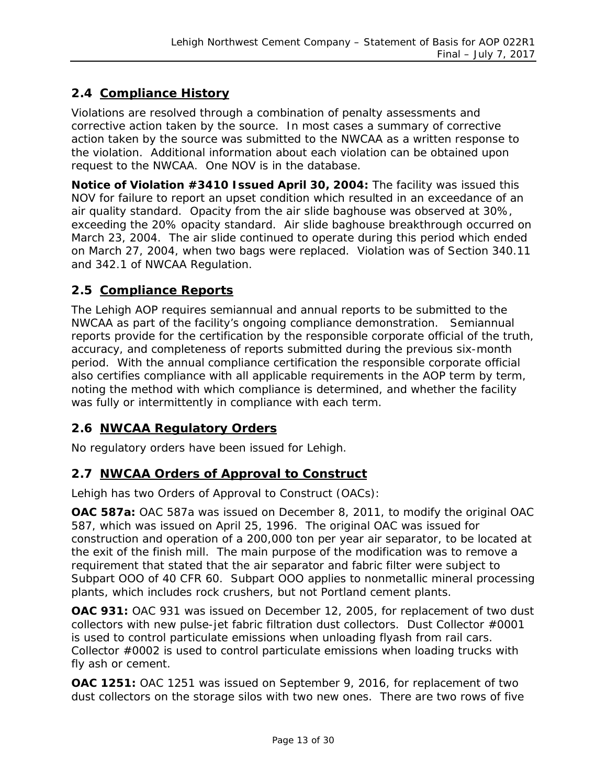#### <span id="page-12-0"></span>**2.4 Compliance History**

Violations are resolved through a combination of penalty assessments and corrective action taken by the source. In most cases a summary of corrective action taken by the source was submitted to the NWCAA as a written response to the violation. Additional information about each violation can be obtained upon request to the NWCAA. One NOV is in the database.

**Notice of Violation #3410 Issued April 30, 2004:** The facility was issued this NOV for failure to report an upset condition which resulted in an exceedance of an air quality standard. Opacity from the air slide baghouse was observed at 30%, exceeding the 20% opacity standard. Air slide baghouse breakthrough occurred on March 23, 2004. The air slide continued to operate during this period which ended on March 27, 2004, when two bags were replaced. Violation was of Section 340.11 and 342.1 of NWCAA Regulation.

#### <span id="page-12-1"></span>**2.5 Compliance Reports**

The Lehigh AOP requires semiannual and annual reports to be submitted to the NWCAA as part of the facility's ongoing compliance demonstration. Semiannual reports provide for the certification by the responsible corporate official of the truth, accuracy, and completeness of reports submitted during the previous six-month period. With the annual compliance certification the responsible corporate official also certifies compliance with all applicable requirements in the AOP term by term, noting the method with which compliance is determined, and whether the facility was fully or intermittently in compliance with each term.

#### <span id="page-12-2"></span>**2.6 NWCAA Regulatory Orders**

No regulatory orders have been issued for Lehigh.

#### <span id="page-12-3"></span>**2.7 NWCAA Orders of Approval to Construct**

Lehigh has two Orders of Approval to Construct (OACs):

**OAC 587a:** OAC 587a was issued on December 8, 2011, to modify the original OAC 587, which was issued on April 25, 1996. The original OAC was issued for construction and operation of a 200,000 ton per year air separator, to be located at the exit of the finish mill. The main purpose of the modification was to remove a requirement that stated that the air separator and fabric filter were subject to Subpart OOO of 40 CFR 60. Subpart OOO applies to nonmetallic mineral processing plants, which includes rock crushers, but not Portland cement plants.

**OAC 931:** OAC 931 was issued on December 12, 2005, for replacement of two dust collectors with new pulse-jet fabric filtration dust collectors. Dust Collector #0001 is used to control particulate emissions when unloading flyash from rail cars. Collector #0002 is used to control particulate emissions when loading trucks with fly ash or cement.

**OAC 1251:** OAC 1251 was issued on September 9, 2016, for replacement of two dust collectors on the storage silos with two new ones. There are two rows of five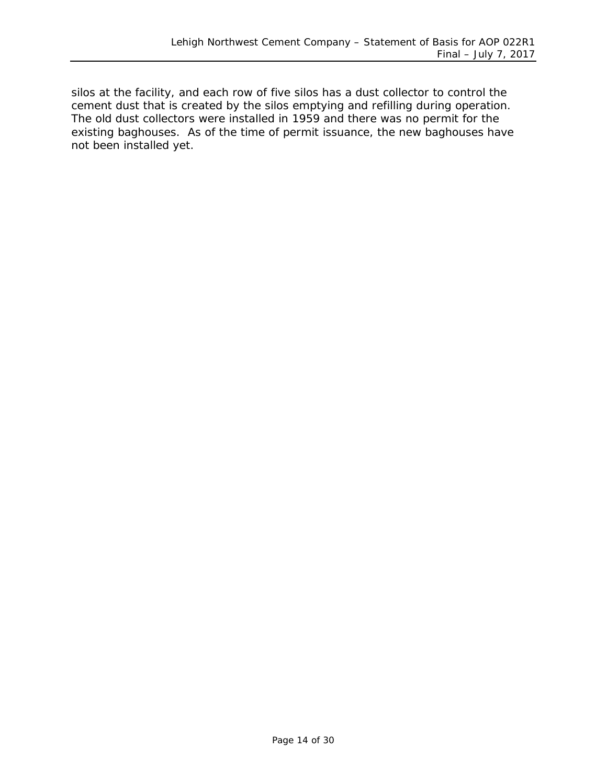silos at the facility, and each row of five silos has a dust collector to control the cement dust that is created by the silos emptying and refilling during operation. The old dust collectors were installed in 1959 and there was no permit for the existing baghouses. As of the time of permit issuance, the new baghouses have not been installed yet.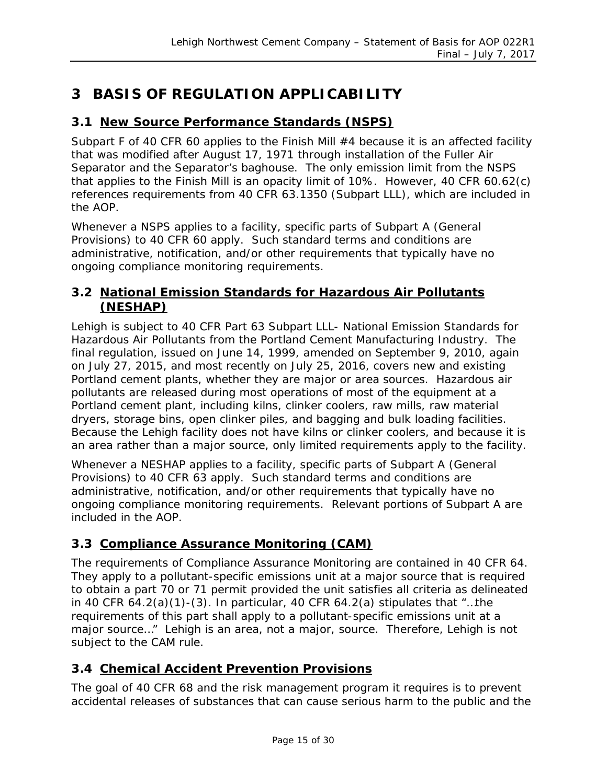# <span id="page-14-0"></span>**3 BASIS OF REGULATION APPLICABILITY**

#### <span id="page-14-1"></span>**3.1 New Source Performance Standards (NSPS)**

Subpart F of 40 CFR 60 applies to the Finish Mill #4 because it is an affected facility that was modified after August 17, 1971 through installation of the Fuller Air Separator and the Separator's baghouse. The only emission limit from the NSPS that applies to the Finish Mill is an opacity limit of 10%. However, 40 CFR 60.62(c) references requirements from 40 CFR 63.1350 (Subpart LLL), which are included in the AOP.

Whenever a NSPS applies to a facility, specific parts of Subpart A (General Provisions) to 40 CFR 60 apply. Such standard terms and conditions are administrative, notification, and/or other requirements that typically have no ongoing compliance monitoring requirements.

#### <span id="page-14-2"></span>**3.2 National Emission Standards for Hazardous Air Pollutants (NESHAP)**

Lehigh is subject to 40 CFR Part 63 Subpart LLL- National Emission Standards for Hazardous Air Pollutants from the Portland Cement Manufacturing Industry. The final regulation, issued on June 14, 1999, amended on September 9, 2010, again on July 27, 2015, and most recently on July 25, 2016, covers new and existing Portland cement plants, whether they are major or area sources. Hazardous air pollutants are released during most operations of most of the equipment at a Portland cement plant, including kilns, clinker coolers, raw mills, raw material dryers, storage bins, open clinker piles, and bagging and bulk loading facilities. Because the Lehigh facility does not have kilns or clinker coolers, and because it is an *area* rather than a *major* source, only limited requirements apply to the facility.

Whenever a NESHAP applies to a facility, specific parts of Subpart A (General Provisions) to 40 CFR 63 apply. Such standard terms and conditions are administrative, notification, and/or other requirements that typically have no ongoing compliance monitoring requirements. Relevant portions of Subpart A are included in the AOP.

#### <span id="page-14-3"></span>**3.3 Compliance Assurance Monitoring (CAM)**

The requirements of Compliance Assurance Monitoring are contained in 40 CFR 64. They apply to a pollutant-specific emissions unit at a major source that is required to obtain a part 70 or 71 permit provided the unit satisfies all criteria as delineated in 40 CFR  $64.2(a)(1)-(3)$ . In particular, 40 CFR  $64.2(a)$  stipulates that "...the requirements of this part shall apply to a pollutant-specific emissions unit at a major source…" Lehigh is an area, not a major, source. Therefore, Lehigh is not subject to the CAM rule.

#### <span id="page-14-4"></span>**3.4 Chemical Accident Prevention Provisions**

The goal of 40 CFR 68 and the risk management program it requires is to prevent accidental releases of substances that can cause serious harm to the public and the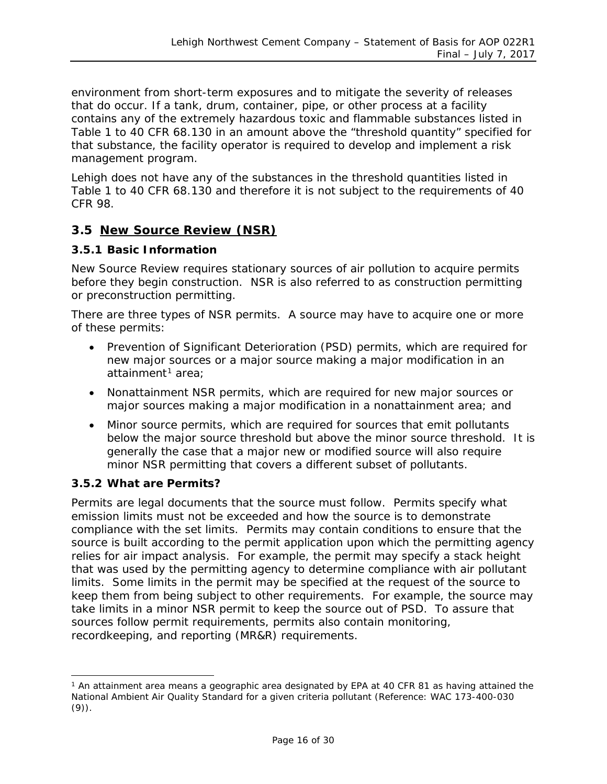environment from short-term exposures and to mitigate the severity of releases that do occur. If a tank, drum, container, pipe, or other process at a facility contains any of the extremely hazardous toxic and flammable substances listed in Table 1 to 40 CFR 68.130 in an amount above the "threshold quantity" specified for that substance, the facility operator is required to develop and implement a risk management program.

Lehigh does not have any of the substances in the threshold quantities listed in Table 1 to 40 CFR 68.130 and therefore it is not subject to the requirements of 40 CFR 98.

#### <span id="page-15-0"></span>**3.5 New Source Review (NSR)**

#### **3.5.1 Basic Information**

New Source Review requires stationary sources of air pollution to acquire permits before they begin construction. NSR is also referred to as construction permitting or preconstruction permitting.

There are three types of NSR permits. A source may have to acquire one or more of these permits:

- Prevention of Significant Deterioration (PSD) permits, which are required for new major sources or a major source making a major modification in an attainment<sup>[1](#page-15-1)</sup> area;
- Nonattainment NSR permits, which are required for new major sources or major sources making a major modification in a nonattainment area; and
- Minor source permits, which are required for sources that emit pollutants below the major source threshold but above the minor source threshold. It is generally the case that a major new or modified source will also require minor NSR permitting that covers a different subset of pollutants.

#### **3.5.2 What are Permits?**

Permits are legal documents that the source must follow. Permits specify what emission limits must not be exceeded and how the source is to demonstrate compliance with the set limits. Permits may contain conditions to ensure that the source is built according to the permit application upon which the permitting agency relies for air impact analysis. For example, the permit may specify a stack height that was used by the permitting agency to determine compliance with air pollutant limits. Some limits in the permit may be specified at the request of the source to keep them from being subject to other requirements. For example, the source may take limits in a minor NSR permit to keep the source out of PSD. To assure that sources follow permit requirements, permits also contain monitoring, recordkeeping, and reporting (MR&R) requirements.

<span id="page-15-1"></span><sup>&</sup>lt;sup>1</sup> An attainment area means a geographic area designated by EPA at 40 CFR 81 as having attained the National Ambient Air Quality Standard for a given criteria pollutant (Reference: WAC 173-400-030 (9)).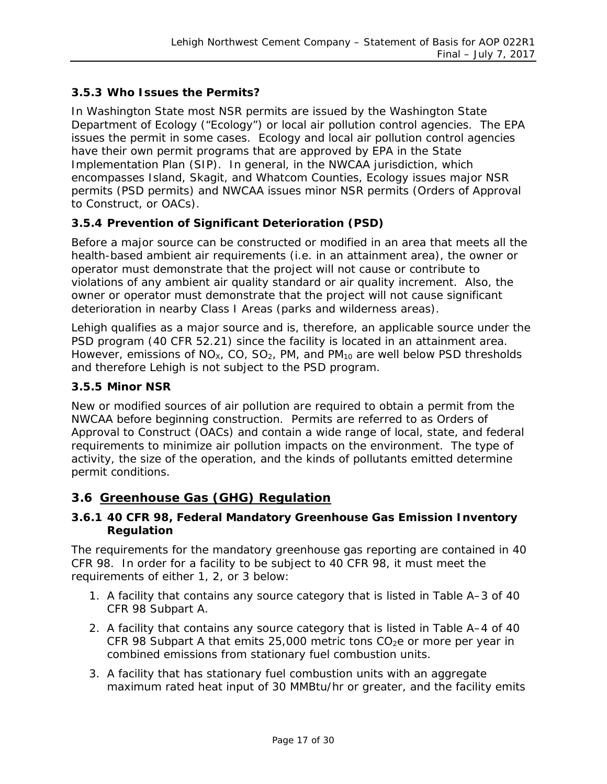#### **3.5.3 Who Issues the Permits?**

In Washington State most NSR permits are issued by the Washington State Department of Ecology ("Ecology") or local air pollution control agencies. The EPA issues the permit in some cases. Ecology and local air pollution control agencies have their own permit programs that are approved by EPA in the State Implementation Plan (SIP). In general, in the NWCAA jurisdiction, which encompasses Island, Skagit, and Whatcom Counties, Ecology issues major NSR permits (PSD permits) and NWCAA issues minor NSR permits (Orders of Approval to Construct, or OACs).

#### **3.5.4 Prevention of Significant Deterioration (PSD)**

Before a major source can be constructed or modified in an area that meets all the health-based ambient air requirements (i.e. in an attainment area), the owner or operator must demonstrate that the project will not cause or contribute to violations of any ambient air quality standard or air quality increment. Also, the owner or operator must demonstrate that the project will not cause significant deterioration in nearby Class I Areas (parks and wilderness areas).

Lehigh qualifies as a major source and is, therefore, an applicable source under the PSD program (40 CFR 52.21) since the facility is located in an attainment area. However, emissions of  $NO_{X_1}$ , CO, SO<sub>2</sub>, PM, and PM<sub>10</sub> are well below PSD thresholds and therefore Lehigh is not subject to the PSD program.

#### **3.5.5 Minor NSR**

New or modified sources of air pollution are required to obtain a permit from the NWCAA before beginning construction. Permits are referred to as Orders of Approval to Construct (OACs) and contain a wide range of local, state, and federal requirements to minimize air pollution impacts on the environment. The type of activity, the size of the operation, and the kinds of pollutants emitted determine permit conditions.

#### <span id="page-16-0"></span>**3.6 Greenhouse Gas (GHG) Regulation**

#### <span id="page-16-1"></span>**3.6.1 40 CFR 98, Federal Mandatory Greenhouse Gas Emission Inventory Regulation**

The requirements for the mandatory greenhouse gas reporting are contained in 40 CFR 98. In order for a facility to be subject to 40 CFR 98, it must meet the requirements of either 1, 2, or 3 below:

- 1. A facility that contains any source category that is listed in Table A–3 of 40 CFR 98 Subpart A.
- 2. A facility that contains any source category that is listed in Table A–4 of 40 CFR 98 Subpart A that emits 25,000 metric tons  $CO<sub>2</sub>e$  or more per year in combined emissions from stationary fuel combustion units.
- 3. A facility that has stationary fuel combustion units with an aggregate maximum rated heat input of 30 MMBtu/hr or greater, and the facility emits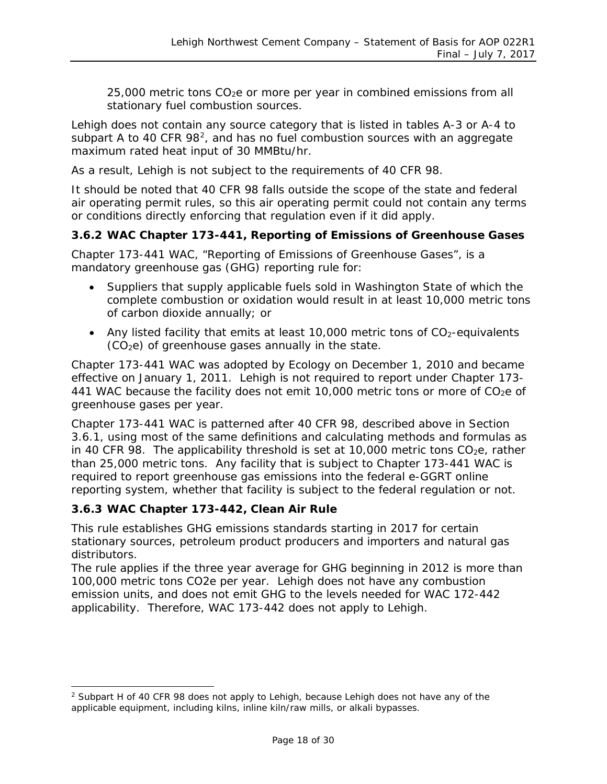$25,000$  metric tons  $CO<sub>2</sub>e$  or more per year in combined emissions from all stationary fuel combustion sources.

Lehigh does not contain any source category that is listed in tables A-3 or A-4 to subpart A to 40 CFR 98<sup>2</sup>, and has no fuel combustion sources with an aggregate maximum rated heat input of 30 MMBtu/hr.

As a result, Lehigh is not subject to the requirements of 40 CFR 98.

It should be noted that 40 CFR 98 falls outside the scope of the state and federal air operating permit rules, so this air operating permit could not contain any terms or conditions directly enforcing that regulation even if it did apply.

#### **3.6.2 WAC Chapter 173-441, Reporting of Emissions of Greenhouse Gases**

Chapter 173-441 WAC, "Reporting of Emissions of Greenhouse Gases", is a mandatory greenhouse gas (GHG) reporting rule for:

- Suppliers that supply applicable fuels sold in Washington State of which the complete combustion or oxidation would result in at least 10,000 metric tons of carbon dioxide annually; or
- Any listed facility that emits at least 10,000 metric tons of  $CO<sub>2</sub>$ -equivalents  $(CO<sub>2</sub>e)$  of greenhouse gases annually in the state.

Chapter 173-441 WAC was adopted by Ecology on December 1, 2010 and became effective on January 1, 2011. Lehigh is not required to report under Chapter 173- 441 WAC because the facility does not emit 10,000 metric tons or more of  $CO<sub>2</sub>e$  of greenhouse gases per year.

Chapter 173-441 WAC is patterned after 40 CFR 98, described above in Section [3.6.1,](#page-16-1) using most of the same definitions and calculating methods and formulas as in 40 CFR 98. The applicability threshold is set at 10,000 metric tons  $CO<sub>2</sub>e$ , rather than 25,000 metric tons. Any facility that is subject to Chapter 173-441 WAC is required to report greenhouse gas emissions into the federal e-GGRT online reporting system, whether that facility is subject to the federal regulation or not.

#### **3.6.3 WAC Chapter 173-442, Clean Air Rule**

This rule establishes GHG emissions standards starting in 2017 for certain stationary sources, petroleum product producers and importers and natural gas distributors.

The rule applies if the three year average for GHG beginning in 2012 is more than 100,000 metric tons CO2e per year. Lehigh does not have any combustion emission units, and does not emit GHG to the levels needed for WAC 172-442 applicability. Therefore, WAC 173-442 does not apply to Lehigh.

<span id="page-17-0"></span><sup>&</sup>lt;sup>2</sup> Subpart H of 40 CFR 98 does not apply to Lehigh, because Lehigh does not have any of the applicable equipment, including kilns, inline kiln/raw mills, or alkali bypasses.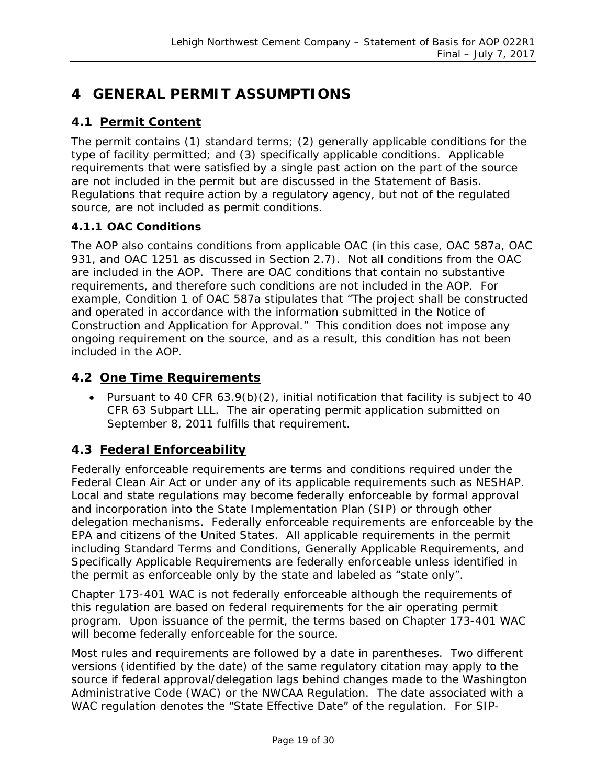# <span id="page-18-0"></span>**4 GENERAL PERMIT ASSUMPTIONS**

### <span id="page-18-1"></span>**4.1 Permit Content**

The permit contains (1) standard terms; (2) generally applicable conditions for the type of facility permitted; and (3) specifically applicable conditions. Applicable requirements that were satisfied by a single past action on the part of the source are not included in the permit but are discussed in the Statement of Basis. Regulations that require action by a regulatory agency, but not of the regulated source, are not included as permit conditions.

#### **4.1.1 OAC Conditions**

The AOP also contains conditions from applicable OAC (in this case, OAC 587a, OAC 931, and OAC 1251 as discussed in Section [2.7\)](#page-12-3). Not all conditions from the OAC are included in the AOP. There are OAC conditions that contain no substantive requirements, and therefore such conditions are not included in the AOP. For example, Condition 1 of OAC 587a stipulates that "The project shall be constructed and operated in accordance with the information submitted in the Notice of Construction and Application for Approval." This condition does not impose any ongoing requirement on the source, and as a result, this condition has not been included in the AOP.

#### <span id="page-18-2"></span>**4.2 One Time Requirements**

• Pursuant to 40 CFR 63.9(b)(2), initial notification that facility is subject to 40 CFR 63 Subpart LLL. The air operating permit application submitted on September 8, 2011 fulfills that requirement.

#### <span id="page-18-3"></span>**4.3 Federal Enforceability**

Federally enforceable requirements are terms and conditions required under the Federal Clean Air Act or under any of its applicable requirements such as NESHAP. Local and state regulations may become federally enforceable by formal approval and incorporation into the State Implementation Plan (SIP) or through other delegation mechanisms. Federally enforceable requirements are enforceable by the EPA and citizens of the United States. All applicable requirements in the permit including Standard Terms and Conditions, Generally Applicable Requirements, and Specifically Applicable Requirements are federally enforceable unless identified in the permit as enforceable only by the state and labeled as "state only".

Chapter 173-401 WAC is not federally enforceable although the requirements of this regulation are based on federal requirements for the air operating permit program. Upon issuance of the permit, the terms based on Chapter 173-401 WAC will become federally enforceable for the source.

Most rules and requirements are followed by a date in parentheses. Two different versions (identified by the date) of the same regulatory citation may apply to the source if federal approval/delegation lags behind changes made to the Washington Administrative Code (WAC) or the NWCAA Regulation. The date associated with a WAC regulation denotes the "State Effective Date" of the regulation. For SIP-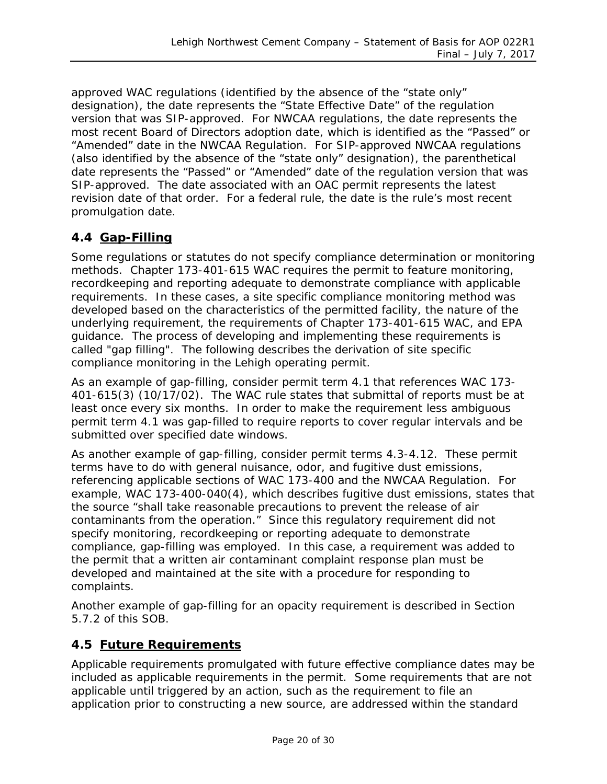approved WAC regulations (identified by the absence of the "state only" designation), the date represents the "State Effective Date" of the regulation version that was SIP-approved. For NWCAA regulations, the date represents the most recent Board of Directors adoption date, which is identified as the "Passed" or "Amended" date in the NWCAA Regulation. For SIP-approved NWCAA regulations (also identified by the absence of the "state only" designation), the parenthetical date represents the "Passed" or "Amended" date of the regulation version that was SIP-approved. The date associated with an OAC permit represents the latest revision date of that order. For a federal rule, the date is the rule's most recent promulgation date.

#### <span id="page-19-0"></span>**4.4 Gap-Filling**

Some regulations or statutes do not specify compliance determination or monitoring methods. Chapter 173-401-615 WAC requires the permit to feature monitoring, recordkeeping and reporting adequate to demonstrate compliance with applicable requirements. In these cases, a site specific compliance monitoring method was developed based on the characteristics of the permitted facility, the nature of the underlying requirement, the requirements of Chapter 173-401-615 WAC, and EPA guidance. The process of developing and implementing these requirements is called "gap filling". The following describes the derivation of site specific compliance monitoring in the Lehigh operating permit.

As an example of gap-filling, consider permit term 4.1 that references WAC 173- 401-615(3) (10/17/02). The WAC rule states that submittal of reports must be at least once every six months. In order to make the requirement less ambiguous permit term 4.1 was gap-filled to require reports to cover regular intervals and be submitted over specified date windows.

As another example of gap-filling, consider permit terms 4.3-4.12. These permit terms have to do with general nuisance, odor, and fugitive dust emissions, referencing applicable sections of WAC 173-400 and the NWCAA Regulation. For example, WAC 173-400-040(4), which describes fugitive dust emissions, states that the source "shall take reasonable precautions to prevent the release of air contaminants from the operation." Since this regulatory requirement did not specify monitoring, recordkeeping or reporting adequate to demonstrate compliance, gap-filling was employed. In this case, a requirement was added to the permit that a written air contaminant complaint response plan must be developed and maintained at the site with a procedure for responding to complaints.

Another example of gap-filling for an opacity requirement is described in Section [5.7.2](#page-23-2) of this SOB.

#### <span id="page-19-1"></span>**4.5 Future Requirements**

Applicable requirements promulgated with future effective compliance dates may be included as applicable requirements in the permit. Some requirements that are not applicable until triggered by an action, such as the requirement to file an application prior to constructing a new source, are addressed within the standard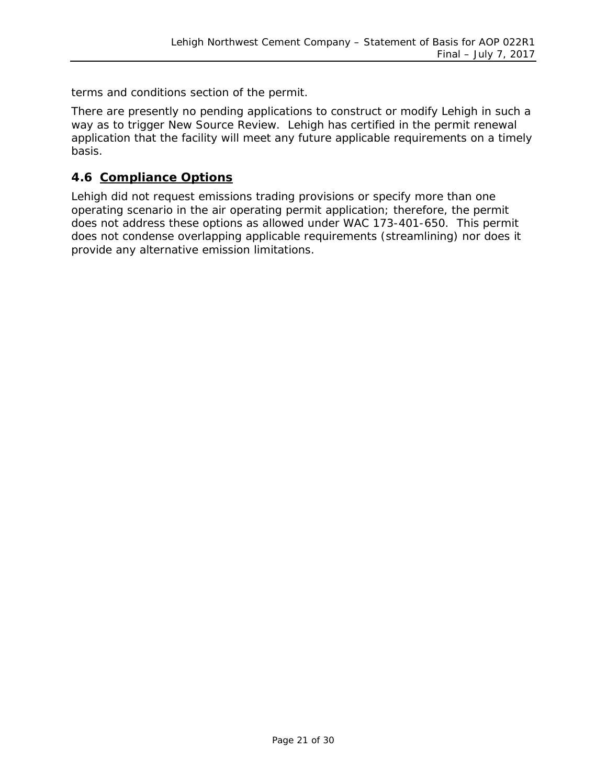terms and conditions section of the permit.

There are presently no pending applications to construct or modify Lehigh in such a way as to trigger New Source Review. Lehigh has certified in the permit renewal application that the facility will meet any future applicable requirements on a timely basis.

#### <span id="page-20-0"></span>**4.6 Compliance Options**

Lehigh did not request emissions trading provisions or specify more than one operating scenario in the air operating permit application; therefore, the permit does not address these options as allowed under WAC 173-401-650. This permit does not condense overlapping applicable requirements (streamlining) nor does it provide any alternative emission limitations.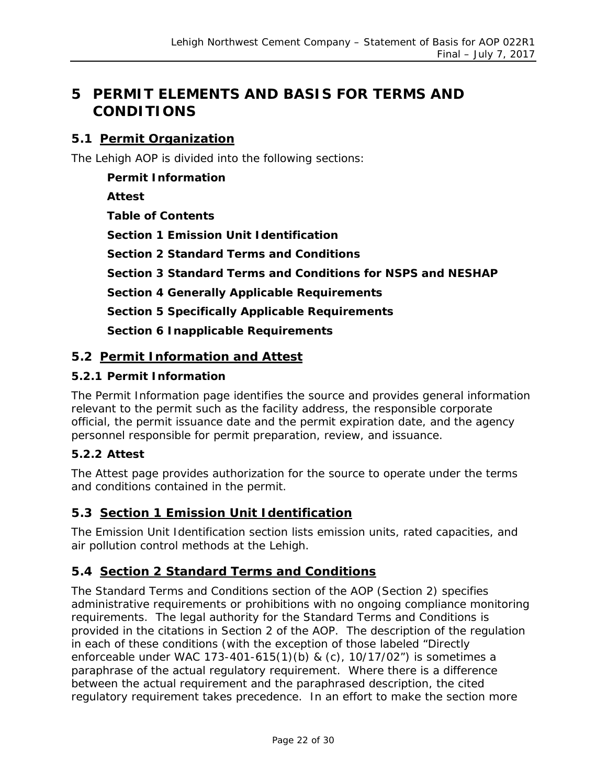# <span id="page-21-0"></span>**5 PERMIT ELEMENTS AND BASIS FOR TERMS AND CONDITIONS**

#### <span id="page-21-1"></span>**5.1 Permit Organization**

The Lehigh AOP is divided into the following sections:

**Permit Information Attest Table of Contents Section 1 Emission Unit Identification Section 2 Standard Terms and Conditions Section 3 Standard Terms and Conditions for NSPS and NESHAP Section 4 Generally Applicable Requirements Section 5 Specifically Applicable Requirements Section 6 Inapplicable Requirements**

#### <span id="page-21-2"></span>**5.2 Permit Information and Attest**

#### **5.2.1 Permit Information**

The Permit Information page identifies the source and provides general information relevant to the permit such as the facility address, the responsible corporate official, the permit issuance date and the permit expiration date, and the agency personnel responsible for permit preparation, review, and issuance.

#### **5.2.2 Attest**

The Attest page provides authorization for the source to operate under the terms and conditions contained in the permit.

#### <span id="page-21-3"></span>**5.3 Section 1 Emission Unit Identification**

The Emission Unit Identification section lists emission units, rated capacities, and air pollution control methods at the Lehigh.

#### <span id="page-21-4"></span>**5.4 Section 2 Standard Terms and Conditions**

The Standard Terms and Conditions section of the AOP (Section 2) specifies administrative requirements or prohibitions with no ongoing compliance monitoring requirements. The legal authority for the Standard Terms and Conditions is provided in the citations in Section 2 of the AOP. The description of the regulation in each of these conditions (with the exception of those labeled "Directly enforceable under WAC 173-401-615(1)(b) & (c), 10/17/02") is sometimes a paraphrase of the actual regulatory requirement. Where there is a difference between the actual requirement and the paraphrased description, the cited regulatory requirement takes precedence. In an effort to make the section more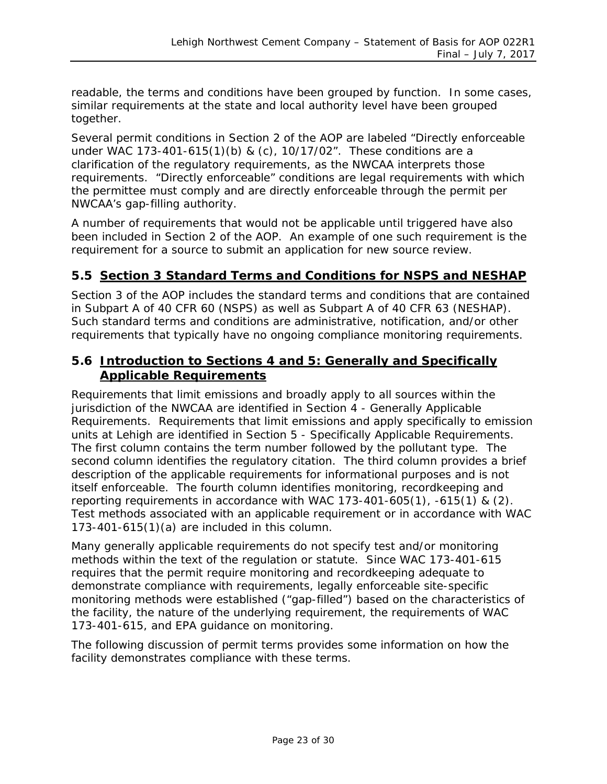readable, the terms and conditions have been grouped by function. In some cases, similar requirements at the state and local authority level have been grouped together.

Several permit conditions in Section 2 of the AOP are labeled "Directly enforceable under WAC 173-401-615(1)(b) & (c), 10/17/02". These conditions are a clarification of the regulatory requirements, as the NWCAA interprets those requirements. "Directly enforceable" conditions are legal requirements with which the permittee must comply and are directly enforceable through the permit per NWCAA's gap-filling authority.

A number of requirements that would not be applicable until triggered have also been included in Section 2 of the AOP. An example of one such requirement is the requirement for a source to submit an application for new source review.

#### <span id="page-22-0"></span>**5.5 Section 3 Standard Terms and Conditions for NSPS and NESHAP**

Section 3 of the AOP includes the standard terms and conditions that are contained in Subpart A of 40 CFR 60 (NSPS) as well as Subpart A of 40 CFR 63 (NESHAP). Such standard terms and conditions are administrative, notification, and/or other requirements that typically have no ongoing compliance monitoring requirements.

#### <span id="page-22-1"></span>**5.6 Introduction to Sections 4 and 5: Generally and Specifically Applicable Requirements**

Requirements that limit emissions and broadly apply to all sources within the jurisdiction of the NWCAA are identified in Section 4 - Generally Applicable Requirements. Requirements that limit emissions and apply specifically to emission units at Lehigh are identified in Section 5 - Specifically Applicable Requirements. The first column contains the term number followed by the pollutant type. The second column identifies the regulatory citation. The third column provides a brief description of the applicable requirements for informational purposes and is not itself enforceable. The fourth column identifies monitoring, recordkeeping and reporting requirements in accordance with WAC 173-401-605(1), -615(1) & (2). Test methods associated with an applicable requirement or in accordance with WAC 173-401-615(1)(a) are included in this column.

Many generally applicable requirements do not specify test and/or monitoring methods within the text of the regulation or statute. Since WAC 173-401-615 requires that the permit require monitoring and recordkeeping adequate to demonstrate compliance with requirements, legally enforceable site-specific monitoring methods were established ("gap-filled") based on the characteristics of the facility, the nature of the underlying requirement, the requirements of WAC 173-401-615, and EPA guidance on monitoring.

The following discussion of permit terms provides some information on how the facility demonstrates compliance with these terms.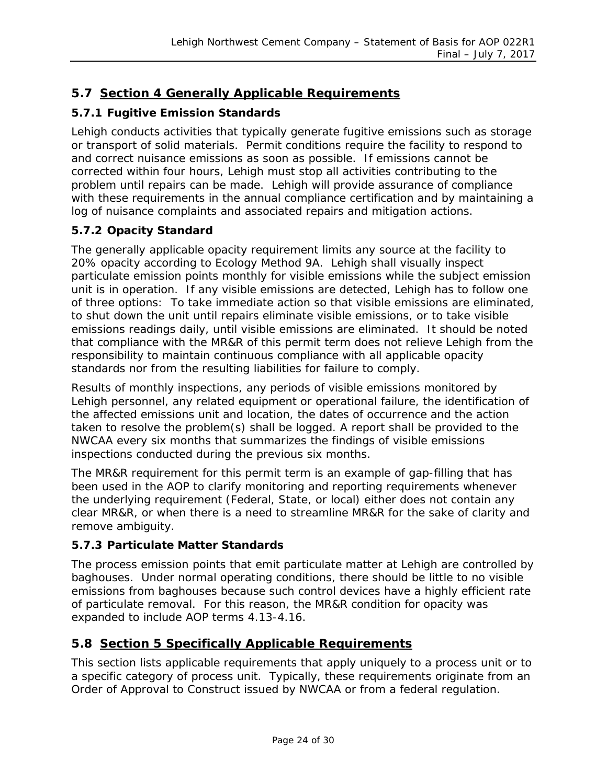### <span id="page-23-0"></span>**5.7 Section 4 Generally Applicable Requirements**

#### **5.7.1 Fugitive Emission Standards**

Lehigh conducts activities that typically generate fugitive emissions such as storage or transport of solid materials. Permit conditions require the facility to respond to and correct nuisance emissions as soon as possible. If emissions cannot be corrected within four hours, Lehigh must stop all activities contributing to the problem until repairs can be made. Lehigh will provide assurance of compliance with these requirements in the annual compliance certification and by maintaining a log of nuisance complaints and associated repairs and mitigation actions.

#### <span id="page-23-2"></span>**5.7.2 Opacity Standard**

The generally applicable opacity requirement limits any source at the facility to 20% opacity according to Ecology Method 9A. Lehigh shall visually inspect particulate emission points monthly for visible emissions while the subject emission unit is in operation. If any visible emissions are detected, Lehigh has to follow one of three options: To take immediate action so that visible emissions are eliminated, to shut down the unit until repairs eliminate visible emissions, or to take visible emissions readings daily, until visible emissions are eliminated. It should be noted that compliance with the MR&R of this permit term does not relieve Lehigh from the responsibility to maintain continuous compliance with all applicable opacity standards nor from the resulting liabilities for failure to comply.

Results of monthly inspections, any periods of visible emissions monitored by Lehigh personnel, any related equipment or operational failure, the identification of the affected emissions unit and location, the dates of occurrence and the action taken to resolve the problem(s) shall be logged. A report shall be provided to the NWCAA every six months that summarizes the findings of visible emissions inspections conducted during the previous six months.

The MR&R requirement for this permit term is an example of gap-filling that has been used in the AOP to clarify monitoring and reporting requirements whenever the underlying requirement (Federal, State, or local) either does not contain any clear MR&R, or when there is a need to streamline MR&R for the sake of clarity and remove ambiguity.

#### **5.7.3 Particulate Matter Standards**

The process emission points that emit particulate matter at Lehigh are controlled by baghouses. Under normal operating conditions, there should be little to no visible emissions from baghouses because such control devices have a highly efficient rate of particulate removal. For this reason, the MR&R condition for opacity was expanded to include AOP terms 4.13-4.16.

#### <span id="page-23-1"></span>**5.8 Section 5 Specifically Applicable Requirements**

This section lists applicable requirements that apply uniquely to a process unit or to a specific category of process unit. Typically, these requirements originate from an Order of Approval to Construct issued by NWCAA or from a federal regulation.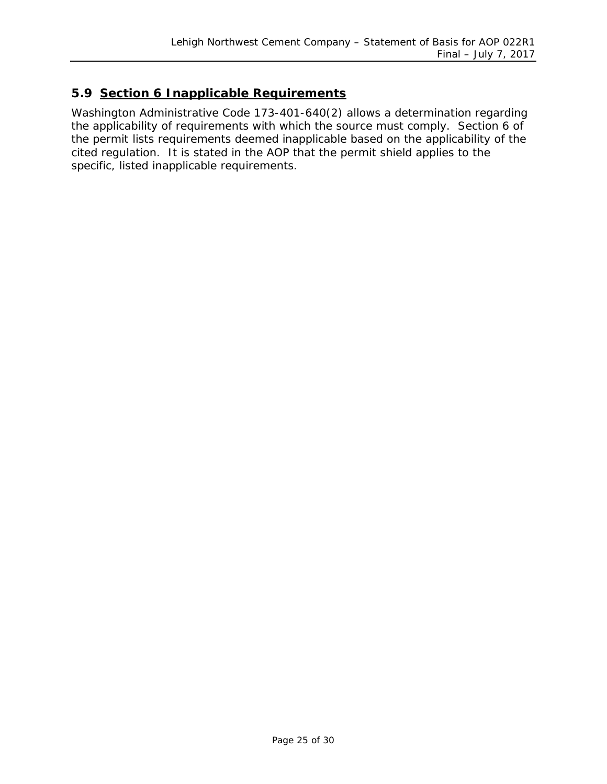#### <span id="page-24-0"></span>**5.9 Section 6 Inapplicable Requirements**

Washington Administrative Code 173-401-640(2) allows a determination regarding the applicability of requirements with which the source must comply. Section 6 of the permit lists requirements deemed inapplicable based on the applicability of the cited regulation. It is stated in the AOP that the permit shield applies to the specific, listed inapplicable requirements.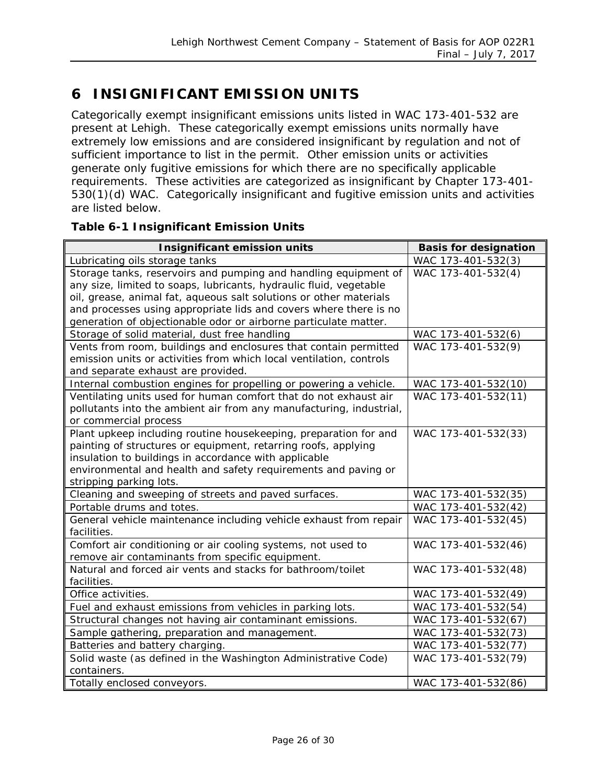# <span id="page-25-0"></span>**6 INSIGNIFICANT EMISSION UNITS**

Categorically exempt insignificant emissions units listed in WAC 173-401-532 are present at Lehigh. These categorically exempt emissions units normally have extremely low emissions and are considered insignificant by regulation and not of sufficient importance to list in the permit. Other emission units or activities generate only fugitive emissions for which there are no specifically applicable requirements. These activities are categorized as insignificant by Chapter 173-401- 530(1)(d) WAC. Categorically insignificant and fugitive emission units and activities are listed below.

#### **Table 6-1 Insignificant Emission Units**

| <b>Insignificant emission units</b>                                 | <b>Basis for designation</b> |
|---------------------------------------------------------------------|------------------------------|
| Lubricating oils storage tanks                                      | WAC 173-401-532(3)           |
| Storage tanks, reservoirs and pumping and handling equipment of     | WAC 173-401-532(4)           |
| any size, limited to soaps, lubricants, hydraulic fluid, vegetable  |                              |
| oil, grease, animal fat, aqueous salt solutions or other materials  |                              |
| and processes using appropriate lids and covers where there is no   |                              |
| generation of objectionable odor or airborne particulate matter.    |                              |
| Storage of solid material, dust free handling                       | WAC 173-401-532(6)           |
| Vents from room, buildings and enclosures that contain permitted    | WAC 173-401-532(9)           |
| emission units or activities from which local ventilation, controls |                              |
| and separate exhaust are provided.                                  |                              |
| Internal combustion engines for propelling or powering a vehicle.   | WAC 173-401-532(10)          |
| Ventilating units used for human comfort that do not exhaust air    | WAC 173-401-532(11)          |
| pollutants into the ambient air from any manufacturing, industrial, |                              |
| or commercial process                                               |                              |
| Plant upkeep including routine housekeeping, preparation for and    | WAC 173-401-532(33)          |
| painting of structures or equipment, retarring roofs, applying      |                              |
| insulation to buildings in accordance with applicable               |                              |
| environmental and health and safety requirements and paving or      |                              |
| stripping parking lots.                                             |                              |
| Cleaning and sweeping of streets and paved surfaces.                | WAC 173-401-532(35)          |
| Portable drums and totes.                                           | WAC 173-401-532(42)          |
| General vehicle maintenance including vehicle exhaust from repair   | WAC 173-401-532(45)          |
| facilities.                                                         |                              |
| Comfort air conditioning or air cooling systems, not used to        | WAC 173-401-532(46)          |
| remove air contaminants from specific equipment.                    |                              |
| Natural and forced air vents and stacks for bathroom/toilet         | WAC 173-401-532(48)          |
| facilities.                                                         |                              |
| Office activities.                                                  | WAC 173-401-532(49)          |
| Fuel and exhaust emissions from vehicles in parking lots.           | WAC 173-401-532(54)          |
| Structural changes not having air contaminant emissions.            | WAC 173-401-532(67)          |
| Sample gathering, preparation and management.                       | WAC 173-401-532(73)          |
| Batteries and battery charging.                                     | WAC 173-401-532(77)          |
| Solid waste (as defined in the Washington Administrative Code)      | WAC 173-401-532(79)          |
| containers.                                                         |                              |
| Totally enclosed conveyors.                                         | WAC 173-401-532(86)          |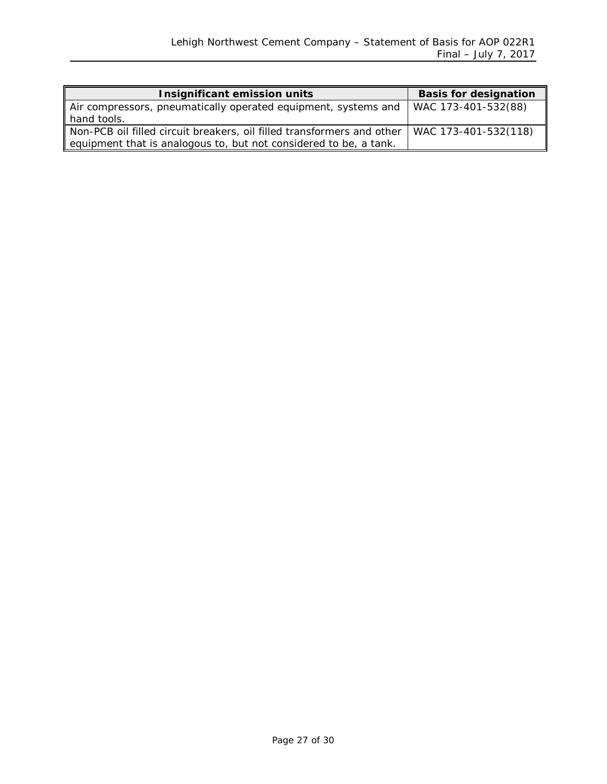| <b>Insignificant emission units</b>                                    | <b>Basis for designation</b> |
|------------------------------------------------------------------------|------------------------------|
| Air compressors, pneumatically operated equipment, systems and         | WAC 173-401-532(88)          |
| hand tools.                                                            |                              |
| Non-PCB oil filled circuit breakers, oil filled transformers and other | WAC 173-401-532(118)         |
| equipment that is analogous to, but not considered to be, a tank.      |                              |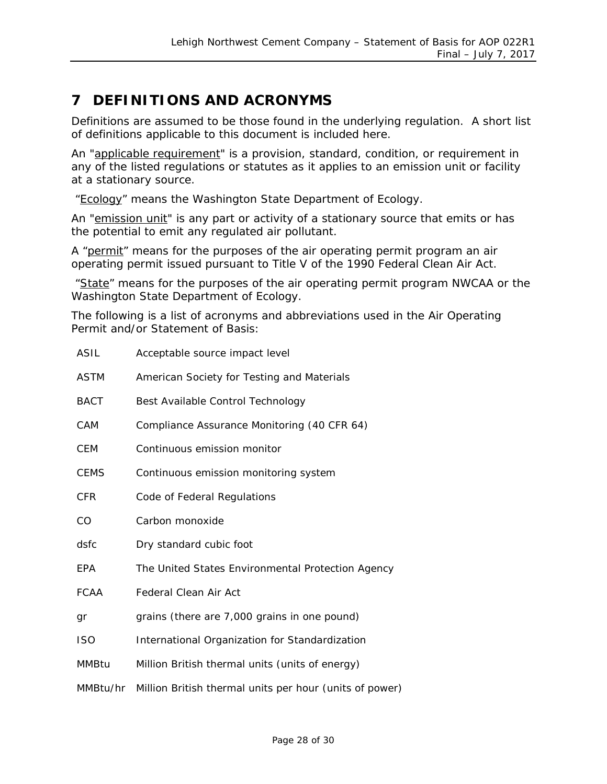# <span id="page-27-0"></span>**7 DEFINITIONS AND ACRONYMS**

Definitions are assumed to be those found in the underlying regulation. A short list of definitions applicable to this document is included here.

An "applicable requirement" is a provision, standard, condition, or requirement in any of the listed regulations or statutes as it applies to an emission unit or facility at a stationary source.

"Ecology" means the Washington State Department of Ecology.

An "emission unit" is any part or activity of a stationary source that emits or has the potential to emit any regulated air pollutant.

A "permit" means for the purposes of the air operating permit program an air operating permit issued pursuant to Title V of the 1990 Federal Clean Air Act.

"State" means for the purposes of the air operating permit program NWCAA or the Washington State Department of Ecology.

The following is a list of acronyms and abbreviations used in the Air Operating Permit and/or Statement of Basis:

| ASIL         | Acceptable source impact level                          |
|--------------|---------------------------------------------------------|
| <b>ASTM</b>  | American Society for Testing and Materials              |
| <b>BACT</b>  | Best Available Control Technology                       |
| CAM          | Compliance Assurance Monitoring (40 CFR 64)             |
| <b>CEM</b>   | Continuous emission monitor                             |
| <b>CEMS</b>  | Continuous emission monitoring system                   |
| <b>CFR</b>   | Code of Federal Regulations                             |
| CO           | Carbon monoxide                                         |
| dsfc         | Dry standard cubic foot                                 |
| EPA          | The United States Environmental Protection Agency       |
| <b>FCAA</b>  | <b>Federal Clean Air Act</b>                            |
| gr           | grains (there are 7,000 grains in one pound)            |
| <b>ISO</b>   | International Organization for Standardization          |
| <b>MMBtu</b> | Million British thermal units (units of energy)         |
| MMBtu/hr     | Million British thermal units per hour (units of power) |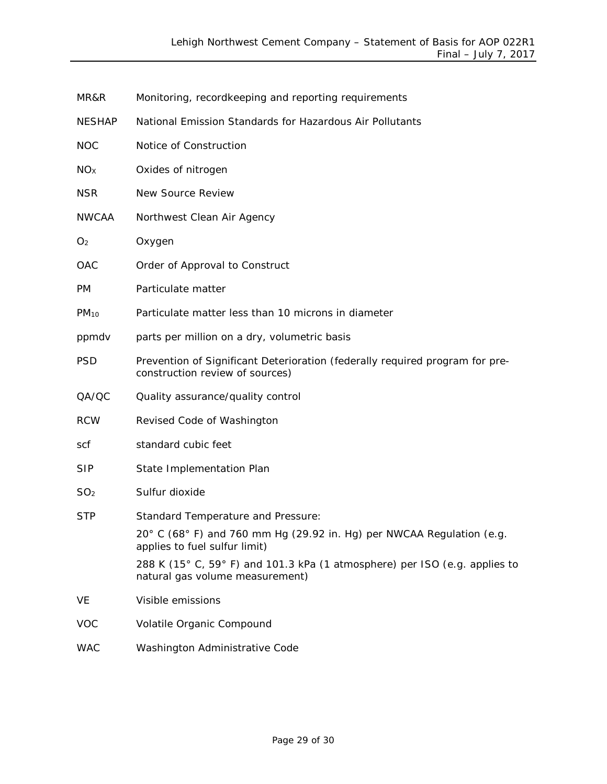| MR&R            | Monitoring, recordkeeping and reporting requirements                                                            |
|-----------------|-----------------------------------------------------------------------------------------------------------------|
| <b>NESHAP</b>   | National Emission Standards for Hazardous Air Pollutants                                                        |
| <b>NOC</b>      | Notice of Construction                                                                                          |
| NO <sub>X</sub> | Oxides of nitrogen                                                                                              |
| <b>NSR</b>      | New Source Review                                                                                               |
| <b>NWCAA</b>    | Northwest Clean Air Agency                                                                                      |
| O <sub>2</sub>  | Oxygen                                                                                                          |
| OAC             | Order of Approval to Construct                                                                                  |
| <b>PM</b>       | Particulate matter                                                                                              |
| $PM_{10}$       | Particulate matter less than 10 microns in diameter                                                             |
| ppmdv           | parts per million on a dry, volumetric basis                                                                    |
| <b>PSD</b>      | Prevention of Significant Deterioration (federally required program for pre-<br>construction review of sources) |
| QA/QC           | Quality assurance/quality control                                                                               |
| <b>RCW</b>      | Revised Code of Washington                                                                                      |
| scf             | standard cubic feet                                                                                             |
| <b>SIP</b>      | State Implementation Plan                                                                                       |
| SO <sub>2</sub> | Sulfur dioxide                                                                                                  |
| <b>STP</b>      | Standard Temperature and Pressure:                                                                              |
|                 | 20° C (68° F) and 760 mm Hg (29.92 in. Hg) per NWCAA Regulation (e.g.<br>applies to fuel sulfur limit)          |
|                 | 288 K (15° C, 59° F) and 101.3 kPa (1 atmosphere) per ISO (e.g. applies to<br>natural gas volume measurement)   |
| VE              | Visible emissions                                                                                               |
| <b>VOC</b>      | Volatile Organic Compound                                                                                       |
| <b>WAC</b>      | Washington Administrative Code                                                                                  |